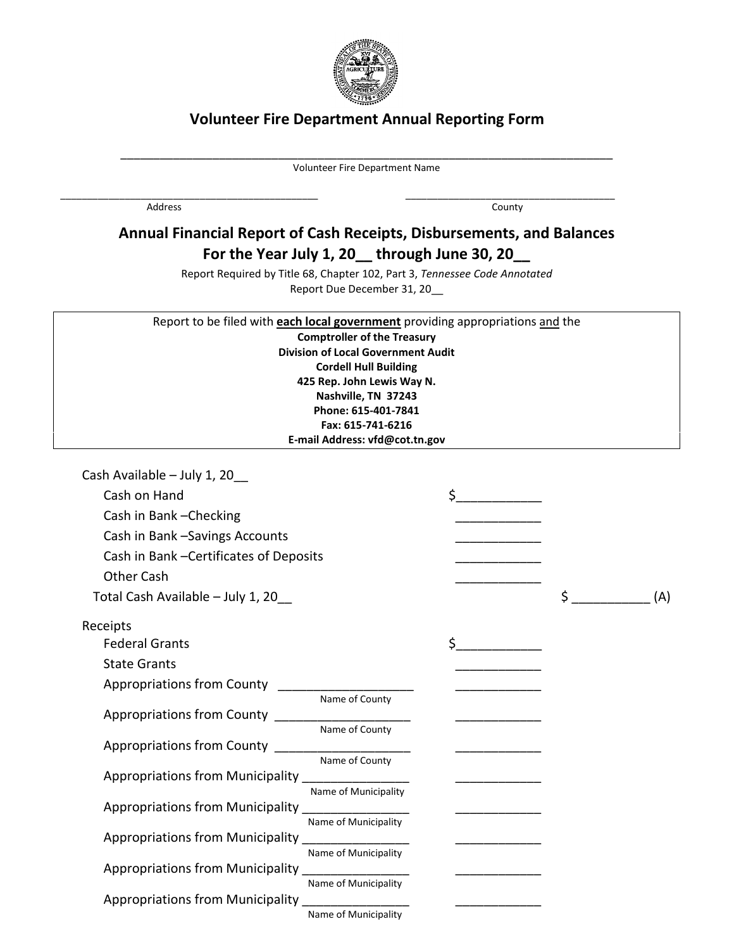

## **Volunteer Fire Department Annual Reporting Form**

\_\_\_\_\_\_\_\_\_\_\_\_\_\_\_\_\_\_\_\_\_\_\_\_\_\_\_\_\_\_\_\_\_\_\_\_\_\_\_\_\_\_\_\_\_\_\_\_\_\_\_\_\_\_\_\_\_\_\_\_\_\_\_\_\_\_\_\_\_\_\_\_\_\_\_ Volunteer Fire Department Name

\_\_\_\_\_\_\_\_\_\_\_\_\_\_\_\_\_\_\_\_\_\_\_\_\_\_\_\_\_\_\_\_\_\_\_\_\_\_\_\_\_\_\_\_\_\_\_\_ \_\_\_\_\_\_\_\_\_\_\_\_\_\_\_\_\_\_\_\_\_\_\_\_\_\_\_\_\_\_\_\_\_\_\_\_\_\_\_

Address County

## **Annual Financial Report of Cash Receipts, Disbursements, and Balances For the Year July 1, 20\_\_ through June 30, 20\_\_**

Report Required by Title 68, Chapter 102, Part 3, *Tennessee Code Annotated* Report Due December 31, 20\_\_

| Report to be filed with each local government providing appropriations and the |
|--------------------------------------------------------------------------------|
| <b>Comptroller of the Treasury</b>                                             |
| <b>Division of Local Government Audit</b>                                      |
| <b>Cordell Hull Building</b>                                                   |
| 425 Rep. John Lewis Way N.                                                     |
| Nashville, TN 37243                                                            |
| Phone: 615-401-7841                                                            |
| Fax: 615-741-6216                                                              |
| E-mail Address: vfd@cot.tn.gov                                                 |

| Cash Available - July 1, 20                       |                      |                                                                                                                                                                                                                                                                                                                                                                                                                                                                                        |           |
|---------------------------------------------------|----------------------|----------------------------------------------------------------------------------------------------------------------------------------------------------------------------------------------------------------------------------------------------------------------------------------------------------------------------------------------------------------------------------------------------------------------------------------------------------------------------------------|-----------|
| Cash on Hand                                      |                      | \$                                                                                                                                                                                                                                                                                                                                                                                                                                                                                     |           |
| Cash in Bank-Checking                             |                      |                                                                                                                                                                                                                                                                                                                                                                                                                                                                                        |           |
| Cash in Bank -Savings Accounts                    |                      |                                                                                                                                                                                                                                                                                                                                                                                                                                                                                        |           |
| Cash in Bank - Certificates of Deposits           |                      |                                                                                                                                                                                                                                                                                                                                                                                                                                                                                        |           |
| <b>Other Cash</b>                                 |                      |                                                                                                                                                                                                                                                                                                                                                                                                                                                                                        |           |
| Total Cash Available - July 1, 20                 |                      |                                                                                                                                                                                                                                                                                                                                                                                                                                                                                        | \$<br>(A) |
| Receipts                                          |                      |                                                                                                                                                                                                                                                                                                                                                                                                                                                                                        |           |
| <b>Federal Grants</b>                             |                      |                                                                                                                                                                                                                                                                                                                                                                                                                                                                                        |           |
| <b>State Grants</b>                               |                      |                                                                                                                                                                                                                                                                                                                                                                                                                                                                                        |           |
| Appropriations from County<br>Name of County      |                      |                                                                                                                                                                                                                                                                                                                                                                                                                                                                                        |           |
|                                                   |                      |                                                                                                                                                                                                                                                                                                                                                                                                                                                                                        |           |
|                                                   |                      | <u> 1989 - Johann Barbara, martxa a shekara 1989 - A</u>                                                                                                                                                                                                                                                                                                                                                                                                                               |           |
| Appropriations from County _____________________  |                      | <u> Louis Communication de la communica</u>                                                                                                                                                                                                                                                                                                                                                                                                                                            |           |
|                                                   | Name of County       |                                                                                                                                                                                                                                                                                                                                                                                                                                                                                        |           |
| Appropriations from Municipality ________________ | Name of Municipality | $\begin{array}{cccccccccc} \multicolumn{2}{c}{} & \multicolumn{2}{c}{} & \multicolumn{2}{c}{} & \multicolumn{2}{c}{} & \multicolumn{2}{c}{} & \multicolumn{2}{c}{} & \multicolumn{2}{c}{} & \multicolumn{2}{c}{} & \multicolumn{2}{c}{} & \multicolumn{2}{c}{} & \multicolumn{2}{c}{} & \multicolumn{2}{c}{} & \multicolumn{2}{c}{} & \multicolumn{2}{c}{} & \multicolumn{2}{c}{} & \multicolumn{2}{c}{} & \multicolumn{2}{c}{} & \multicolumn{2}{c}{} & \multicolumn{2}{c}{} & \mult$ |           |
| Appropriations from Municipality ________________ |                      |                                                                                                                                                                                                                                                                                                                                                                                                                                                                                        |           |
|                                                   | Name of Municipality |                                                                                                                                                                                                                                                                                                                                                                                                                                                                                        |           |
| Appropriations from Municipality _                |                      |                                                                                                                                                                                                                                                                                                                                                                                                                                                                                        |           |
| Appropriations from Municipality ________________ | Name of Municipality |                                                                                                                                                                                                                                                                                                                                                                                                                                                                                        |           |
|                                                   | Name of Municipality | $\frac{1}{2}$ and $\frac{1}{2}$ and $\frac{1}{2}$ and $\frac{1}{2}$ and $\frac{1}{2}$                                                                                                                                                                                                                                                                                                                                                                                                  |           |
| <b>Appropriations from Municipality</b>           |                      |                                                                                                                                                                                                                                                                                                                                                                                                                                                                                        |           |
|                                                   | Name of Municipality |                                                                                                                                                                                                                                                                                                                                                                                                                                                                                        |           |